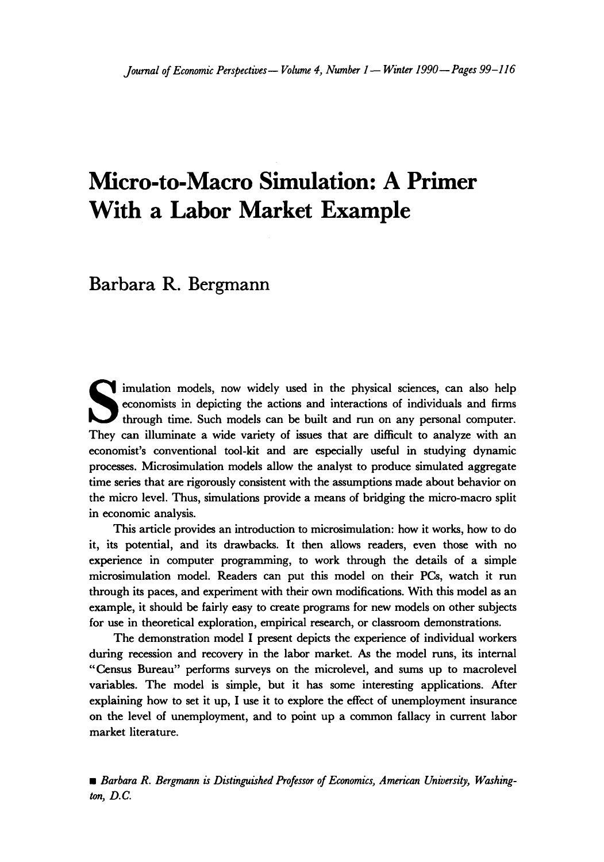# **Micro-to-Macro Simulation: A Primer With a Labor Market Example**

## Barbara R. Bergmann

**S** imulation models, now widely used in the physical sciences, can also help economists in depicting the actions and interactions of individuals and firms through time. Such models can be built and run on any personal computer. They can illuminate a wide variety of issues that are difficult to analyze with an economist's conventional tool-kit and are especially useful in studying dynamic processes. Microsimulation models allow the analyst to produce simulated aggregate time series that are rigorously consistent with the assumptions made about behavior on the micro level. Thus, simulations provide a means of bridging the micro-macro split in economic analysis.

This article provides an introduction to microsimulation: how it works, how to do it, its potential, and its drawbacks. It then allows readers, even those with no experience in computer programming, to work through the details of a simple microsimulation model. Readers can put this model on their PCs, watch it run through its paces, and experiment with their own modifications. With this model as an example, it should be fairly easy to create programs for new models on other subjects for use in theoretical exploration, empirical research, or classroom demonstrations.

The demonstration model I present depicts the experience of individual workers during recession and recovery in the labor market. As the model runs, its internal "Census Bureau" performs surveys on the microlevel, and sums up to macrolevel variables. The model is simple, but it has some interesting applications. After explaining how to set it up, I use it to explore the effect of unemployment insurance on the level of unemployment, and to point up a common fallacy in current labor market literature.

• *Barbara R. Bergmann is Distinguished Professor of Economics, American University, Washington, D.C.*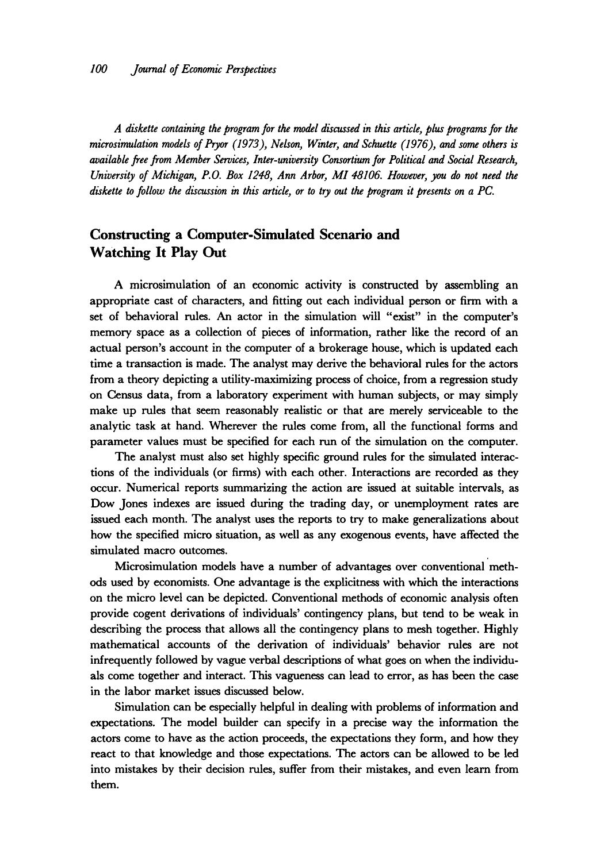*A diskette containing the program for the model discussed in this article, plus programs for the microsimulation models of Pryor (1973), Nelson, Winter, and Schuette (1976), and some others is available free from Member Services, Inter-university Consortium for Political and Social Research, University of Michigan, P.O. Box 1248, Ann Arbor, MI 48106. However, you do not need the diskette to follow the discussion in this article, or to try out the program it presents on a PC.*

## **Constructing a Computer-Simulated Scenario and Watching It Play Out**

A microsimulation of an economic activity is constructed by assembling an appropriate cast of characters, and fitting out each individual person or firm with a set of behavioral rules. An actor in the simulation will "exist" in the computer's memory space as a collection of pieces of information, rather like the record of an actual person's account in the computer of a brokerage house, which is updated each time a transaction is made. The analyst may derive the behavioral rules for the actors from a theory depicting a utility-maximizing process of choice, from a regression study on Census data, from a laboratory experiment with human subjects, or may simply make up rules that seem reasonably realistic or that are merely serviceable to the analytic task at hand. Wherever the rules come from, all the functional forms and parameter values must be specified for each run of the simulation on the computer.

The analyst must also set highly specific ground rules for the simulated interactions of the individuals (or firms) with each other. Interactions are recorded as they occur. Numerical reports summarizing the action are issued at suitable intervals, as Dow Jones indexes are issued during the trading day, or unemployment rates are issued each month. The analyst uses the reports to try to make generalizations about how the specified micro situation, as well as any exogenous events, have affected the simulated macro outcomes.

Microsimulation models have a number of advantages over conventional methods used by economists. One advantage is the explicitness with which the interactions on the micro level can be depicted. Conventional methods of economic analysis often provide cogent derivations of individuals' contingency plans, but tend to be weak in describing the process that allows all the contingency plans to mesh together. Highly mathematical accounts of the derivation of individuals' behavior rules are not infrequently followed by vague verbal descriptions of what goes on when the individuals come together and interact. This vagueness can lead to error, as has been the case in the labor market issues discussed below.

Simulation can be especially helpful in dealing with problems of information and expectations. The model builder can specify in a precise way the information the actors come to have as the action proceeds, the expectations they form, and how they react to that knowledge and those expectations. The actors can be allowed to be led into mistakes by their decision rules, suffer from their mistakes, and even learn from them.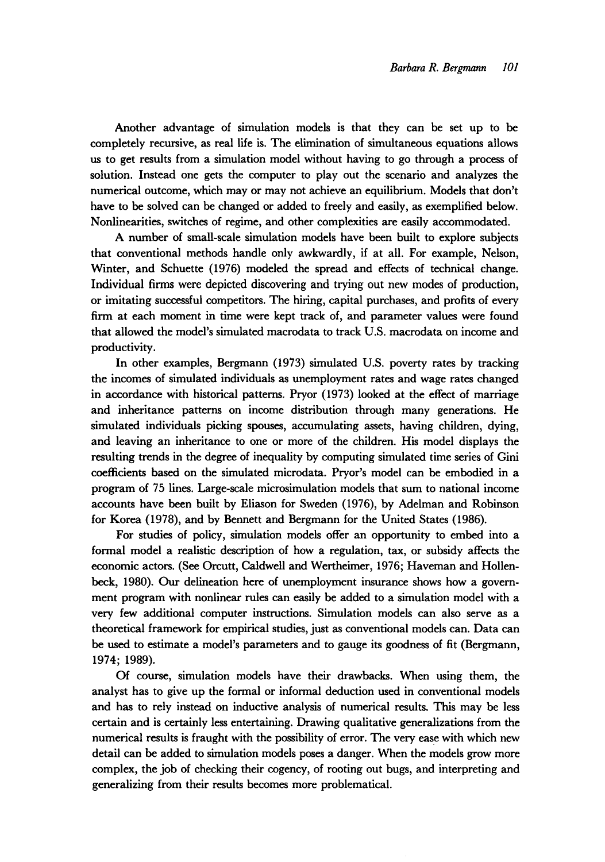Another advantage of simulation models is that they can be set up to be completely recursive, as real life is. The elimination of simultaneous equations allows us to get results from a simulation model without having to go through a process of solution. Instead one gets the computer to play out the scenario and analyzes the numerical outcome, which may or may not achieve an equilibrium. Models that don't have to be solved can be changed or added to freely and easily, as exemplified below. Nonlinearities, switches of regime, and other complexities are easily accommodated.

A number of small-scale simulation models have been built to explore subjects that conventional methods handle only awkwardly, if at all. For example, Nelson, Winter, and Schuette (1976) modeled the spread and effects of technical change. Individual firms were depicted discovering and trying out new modes of production, or imitating successful competitors. The hiring, capital purchases, and profits of every firm at each moment in time were kept track of, and parameter values were found that allowed the model's simulated macrodata to track U.S. macrodata on income and productivity.

In other examples, Bergmann (1973) simulated U.S. poverty rates by tracking the incomes of simulated individuals as unemployment rates and wage rates changed in accordance with historical patterns. Pryor (1973) looked at the effect of marriage and inheritance patterns on income distribution through many generations. He simulated individuals picking spouses, accumulating assets, having children, dying, and leaving an inheritance to one or more of the children. His model displays the resulting trends in the degree of inequality by computing simulated time series of Gini coefficients based on the simulated microdata. Pryor's model can be embodied in a program of 75 lines. Large-scale microsimulation models that sum to national income accounts have been built by Eliason for Sweden (1976), by Adelman and Robinson for Korea (1978), and by Bennett and Bergmann for the United States (1986).

For studies of policy, simulation models offer an opportunity to embed into a formal model a realistic description of how a regulation, tax, or subsidy affects the economic actors. (See Orcutt, Caldwell and Wertheimer, 1976; Haveman and Hollenbeck, 1980). Our delineation here of unemployment insurance shows how a government program with nonlinear rules can easily be added to a simulation model with a very few additional computer instructions. Simulation models can also serve as a theoretical framework for empirical studies, just as conventional models can. Data can be used to estimate a model's parameters and to gauge its goodness of fit (Bergmann, 1974; 1989).

Of course, simulation models have their drawbacks. When using them, the analyst has to give up the formal or informal deduction used in conventional models and has to rely instead on inductive analysis of numerical results. This may be less certain and is certainly less entertaining. Drawing qualitative generalizations from the numerical results is fraught with the possibility of error. The very ease with which new detail can be added to simulation models poses a danger. When the models grow more complex, the job of checking their cogency, of rooting out bugs, and interpreting and generalizing from their results becomes more problematical.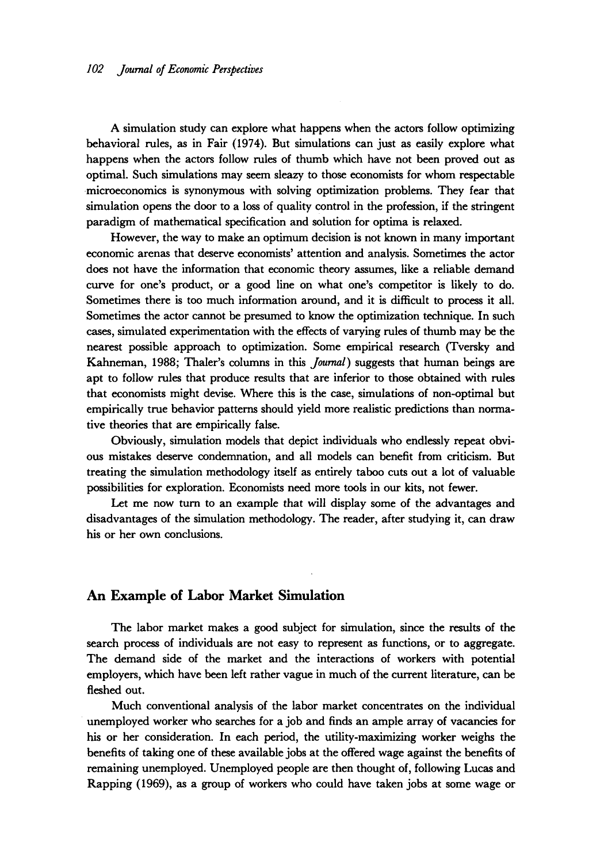A simulation study can explore what happens when the actors follow optimizing behavioral rules, as in Fair (1974). But simulations can just as easily explore what happens when the actors follow rules of thumb which have not been proved out as optimal. Such simulations may seem sleazy to those economists for whom respectable microeconomics is synonymous with solving optimization problems. They fear that simulation opens the door to a loss of quality control in the profession, if the stringent paradigm of mathematical specification and solution for optima is relaxed.

However, the way to make an optimum decision is not known in many important economic arenas that deserve economists' attention and analysis. Sometimes the actor does not have the information that economic theory assumes, like a reliable demand curve for one's product, or a good line on what one's competitor is likely to do. Sometimes there is too much information around, and it is difficult to process it all. Sometimes the actor cannot be presumed to know the optimization technique. In such cases, simulated experimentation with the effects of varying rules of thumb may be the nearest possible approach to optimization. Some empirical research (Tversky and Kahneman, 1988; Thaler's columns in this *Journal*) suggests that human beings are apt to follow rules that produce results that are inferior to those obtained with rules that economists might devise. Where this is the case, simulations of non-optimal but empirically true behavior patterns should yield more realistic predictions than normative theories that are empirically false.

Obviously, simulation models that depict individuals who endlessly repeat obvious mistakes deserve condemnation, and all models can benefit from criticism. But treating the simulation methodology itself as entirely taboo cuts out a lot of valuable possibilities for exploration. Economists need more tools in our kits, not fewer.

Let me now turn to an example that will display some of the advantages and disadvantages of the simulation methodology. The reader, after studying it, can draw his or her own conclusions.

## **An Example of Labor Market Simulation**

The labor market makes a good subject for simulation, since the results of the search process of individuals are not easy to represent as functions, or to aggregate. The demand side of the market and the interactions of workers with potential employers, which have been left rather vague in much of the current literature, can be fleshed out.

Much conventional analysis of the labor market concentrates on the individual unemployed worker who searches for a job and finds an ample array of vacancies for his or her consideration. In each period, the utility-maximizing worker weighs the benefits of taking one of these available jobs at the offered wage against the benefits of remaining unemployed. Unemployed people are then thought of, following Lucas and Rapping (1969), as a group of workers who could have taken jobs at some wage or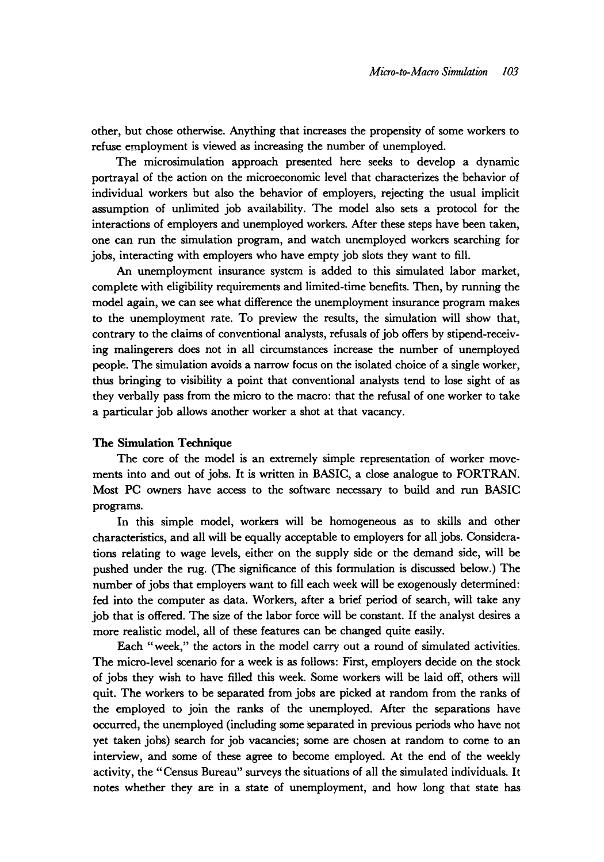other, but chose otherwise. Anything that increases the propensity of some workers to refuse employment is viewed as increasing the number of unemployed.

The microsimulation approach presented here seeks to develop a dynamic portrayal of the action on the microeconomic level that characterizes the behavior of individual workers but also the behavior of employers, rejecting the usual implicit assumption of unlimited job availability. The model also sets a protocol for the interactions of employers and unemployed workers. After these steps have been taken, one can run the simulation program, and watch unemployed workers searching for jobs, interacting with employers who have empty job slots they want to fill.

An unemployment insurance system is added to this simulated labor market, complete with eligibility requirements and limited-time benefits. Then, by running the model again, we can see what difference the unemployment insurance program makes to the unemployment rate. To preview the results, the simulation will show that, contrary to the claims of conventional analysts, refusals of job offers by stipend-receiving malingerers does not in all circumstances increase the number of unemployed people. The simulation avoids a narrow focus on the isolated choice of a single worker, thus bringing to visibility a point that conventional analysts tend to lose sight of as they verbally pass from the micro to the macro: that the refusal of one worker to take a particular job allows another worker a shot at that vacancy.

#### **The Simulation Technique**

The core of the model is an extremely simple representation of worker movements into and out of jobs. It is written in BASIC, a close analogue to FORTRAN. Most PC owners have access to the software necessary to build and run BASIC programs.

In this simple model, workers will be homogeneous as to skills and other characteristics, and all will be equally acceptable to employers for all jobs. Considerations relating to wage levels, either on the supply side or the demand side, will be pushed under the rug. (The significance of this formulation is discussed below.) The number of jobs that employers want to fill each week will be exogenously determined: fed into the computer as data. Workers, after a brief period of search, will take any job that is offered. The size of the labor force will be constant. If the analyst desires a more realistic model, all of these features can be changed quite easily.

Each "week," the actors in the model carry out a round of simulated activities. The micro-level scenario for a week is as follows: First, employers decide on the stock of jobs they wish to have filled this week. Some workers will be laid off, others will quit. The workers to be separated from jobs are picked at random from the ranks of the employed to join the ranks of the unemployed. After the separations have occurred, the unemployed (including some separated in previous periods who have not yet taken jobs) search for job vacancies; some are chosen at random to come to an interview, and some of these agree to become employed. At the end of the weekly activity, the "Census Bureau" surveys the situations of all the simulated individuals. It notes whether they are in a state of unemployment, and how long that state has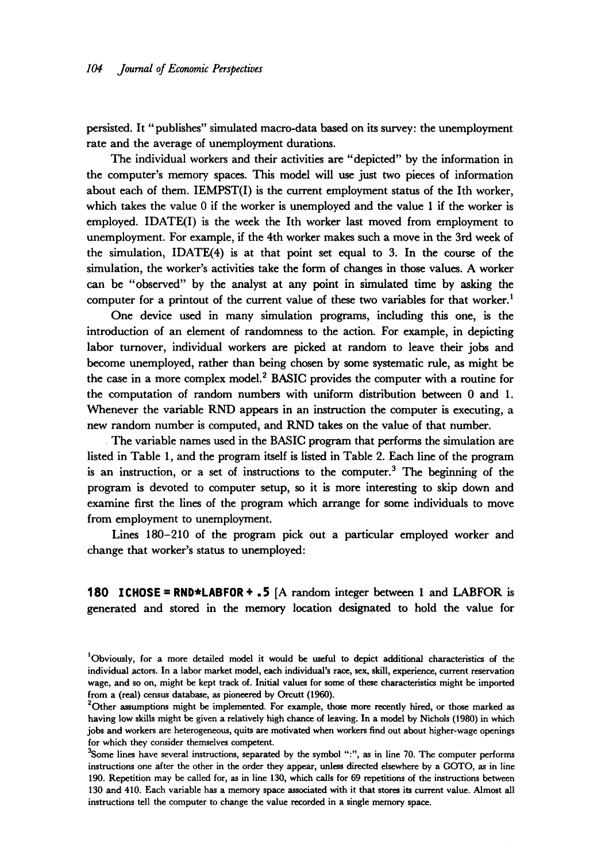persisted. It "publishes" simulated macro-data based on its survey: the unemployment rate and the average of unemployment durations.

The individual workers and their activities are "depicted" by the information in the computer's memory spaces. This model will use just two pieces of information about each of them. IEMPST(I) is the current employment status of the Ith worker, which takes the value 0 if the worker is unemployed and the value 1 if the worker is employed. IDATE(I) is the week the Ith worker last moved from employment to unemployment. For example, if the 4th worker makes such a move in the 3rd week of the simulation, IDATE(4) is at that point set equal to 3. In the course of the simulation, the worker's activities take the form of changes in those values. A worker can be "observed" by the analyst at any point in simulated time by asking the computer for a printout of the current value of these two variables for that worker.<sup>1</sup>

One device used in many simulation programs, including this one, is the introduction of an element of randomness to the action. For example, in depicting labor turnover, individual workers are picked at random to leave their jobs and become unemployed, rather than being chosen by some systematic rule, as might be the case in a more complex model.<sup>2</sup> BASIC provides the computer with a routine for the computation of random numbers with uniform distribution between 0 and 1. Whenever the variable RND appears in an instruction the computer is executing, a new random number is computed, and RND takes on the value of that number.

The variable names used in the BASIC program that performs the simulation are listed in Table 1, and the program itself is listed in Table 2. Each line of the program is an instruction, or a set of instructions to the computer.<sup>3</sup> The beginning of the program is devoted to computer setup, so it is more interesting to skip down and examine first the lines of the program which arrange for some individuals to move from employment to unemployment.

Lines 180–210 of the program pick out a particular employed worker and change that worker's status to unemployed:

**180 ICHOSE = RND\*LABFOR + .5** [A random integer between 1 and LABFOR is generated and stored in the memory location designated to hold the value for

<sup>1</sup>Obviously, for a more detailed model it would be useful to depict additional characteristics of the individual actors. In a labor market model, each individual's race, sex, skill, experience, current reservation wage, and so on, might be kept track of. Initial values for some of these characteristics might be imported from a (real) census database, as pioneered by Orcutt (1960).

 $2$ Other assumptions might be implemented. For example, those more recently hired, or those marked as having low skills might be given a relatively high chance of leaving. In a model by Nichols (1980) in which jobs and workers are heterogeneous, quits are motivated when workers find out about higher-wage openings for which they consider themselves competent.

<sup>3</sup> Some lines have several instructions, separated by the symbol ":", as in line 70. The computer performs instructions one after the other in the order they appear, unless directed elsewhere by a GOTO, as in line 190. Repetition may be called for, as in line 130, which calls for 69 repetitions of the instructions between 130 and 410. Each variable has a memory space associated with it that stores its current value. Almost all instructions tell the computer to change the value recorded in a single memory space.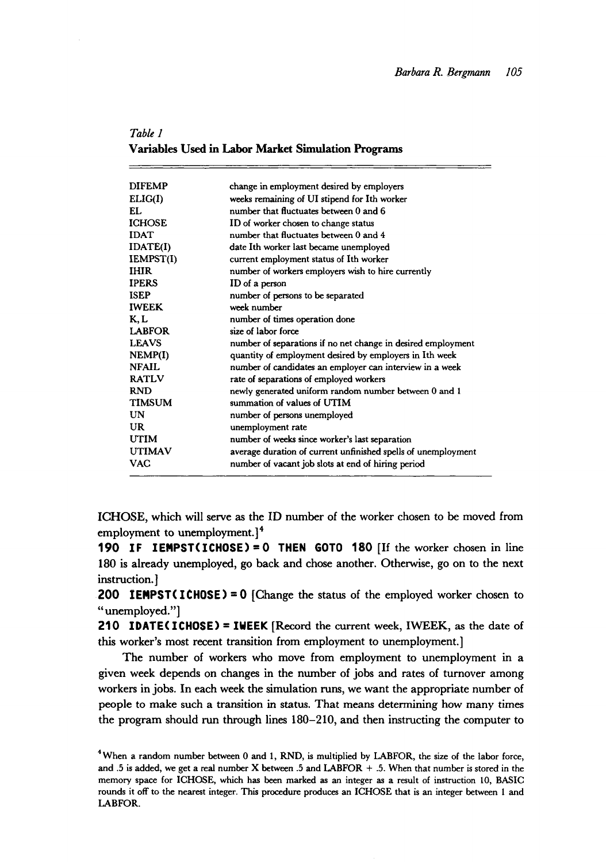| Table 1 |  |                                                    |  |
|---------|--|----------------------------------------------------|--|
|         |  | Variables Used in Labor Market Simulation Programs |  |

| <b>DIFEMP</b>   |                                                               |  |  |
|-----------------|---------------------------------------------------------------|--|--|
|                 | change in employment desired by employers                     |  |  |
| ELIG(I)         | weeks remaining of UI stipend for Ith worker                  |  |  |
| EL.             | number that fluctuates between 0 and 6                        |  |  |
| <b>ICHOSE</b>   | ID of worker chosen to change status                          |  |  |
| <b>IDAT</b>     | number that fluctuates between 0 and 4                        |  |  |
| <b>IDATE(I)</b> | date Ith worker last became unemployed                        |  |  |
| IEMPST(I)       | current employment status of Ith worker                       |  |  |
| IHIR            | number of workers employers wish to hire currently            |  |  |
| IPERS           | ID of a person                                                |  |  |
| ISEP            | number of persons to be separated                             |  |  |
| IWEEK           | week number                                                   |  |  |
| K.L             | number of times operation done                                |  |  |
| <b>LABFOR</b>   | size of labor force                                           |  |  |
| <b>LEAVS</b>    | number of separations if no net change in desired employment  |  |  |
| NEMP(I)         | quantity of employment desired by employers in Ith week       |  |  |
| <b>NFAIL</b>    | number of candidates an employer can interview in a week      |  |  |
| <b>RATLV</b>    | rate of separations of employed workers                       |  |  |
| <b>RND</b>      | newly generated uniform random number between 0 and 1         |  |  |
| TIMSUM          | summation of values of UTIM                                   |  |  |
| UN              | number of persons unemployed                                  |  |  |
| UR              | unemployment rate                                             |  |  |
| UTIM            | number of weeks since worker's last separation                |  |  |
| <b>UTIMAV</b>   | average duration of current unfinished spells of unemployment |  |  |
| <b>VAC</b>      | number of vacant job slots at end of hiring period            |  |  |
|                 |                                                               |  |  |

ICHOSE, which will serve as the ID number of the worker chosen to be moved from employment to unemployment.]<sup>4</sup>

**190 IF IEMPST(ICHOSE) = 0 THEN GOTO 180** [If the worker chosen in line 180 is already unemployed, go back and chose another. Otherwise, go on to the next instruction.]

**200 IEMPST(ICHOSE) = 0** [Change the status of the employed worker chosen to "unemployed."]

**210 IDATE(ICHOSE) = IWEEK** [Record the current week, IWEEK, as the date of this worker's most recent transition from employment to unemployment.]

The number of workers who move from employment to unemployment in a given week depends on changes in the number of jobs and rates of turnover among workers in jobs. In each week the simulation runs, we want the appropriate number of people to make such a transition in status. That means determining how many times the program should run through lines 180–210, and then instructing the computer to

<sup>4</sup>When a random number between 0 and 1, RND, is multiplied by LABFOR, the size of the labor force, and .5 is added, we get a real number X between .5 and LABFOR + .5. When that number is stored in the memory space for ICHOSE, which has been marked as an integer as a result of instruction 10, BASIC rounds it off to the nearest integer. This procedure produces an ICHOSE that is an integer between 1 and LABFOR.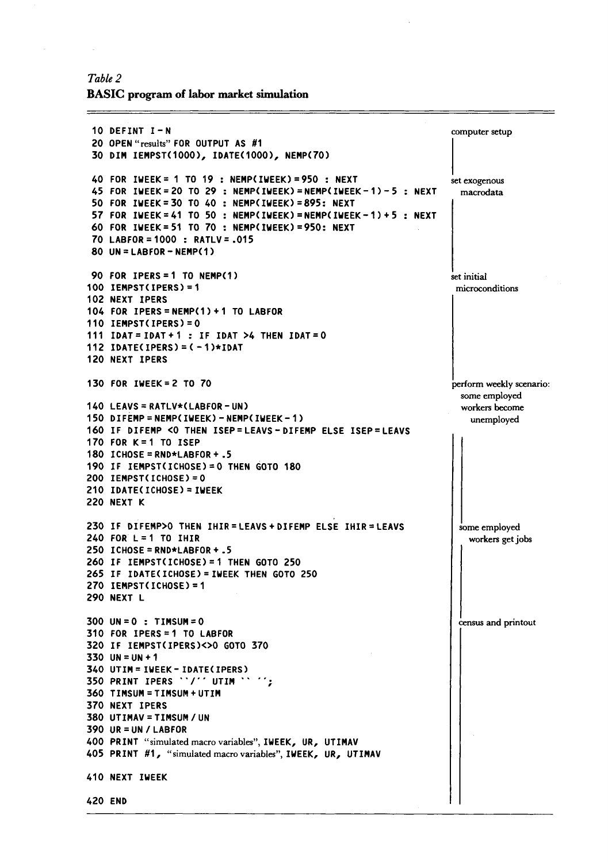*Table 2* **BASIC program of labor market simulation**

```
10 DEFINT I-N
                                                                      computer setup
 20 OPEN "results" FOR OUTPUT AS #1
 30 DIM IEMPST(1000), IDATE(1000), NEMP(70)
 40 FOR IWEEK = 1 TO 19 : NEMP(IWEEK) = 950 : NEXT
                                                                      set exogenous
 45 FOR IWEEK = 20 TO 29 : NEMP(IWEEK) = NEMP(IWEEK - 1) - 5 : NEXT
                                                                        macrodata
 50 FOR IWEEK = 30 TO 40 : NEMP(IWEEK) = 895: NEXT
 57 FOR IWEEK = 41 TO 50 : NEMP(IWEEK) = NEMP(IWEEK - 1) + 5 : NEXT
 60 FOR IWEEK = 51 TO 70 : NEMP(IWEEK) = 950: NEXT
 70 LABFOR = 1000 : RATLV = .015
80 UN = LABFOR - NEMP(1)
90 FOR IPERS = 1 TO NEMP(1)set initial
100 IEMPST(IPERS) = 1
                                                                       microconditions
102 NEXT IPERS
104 FOR IPERS = NEMP(1) + 1 TO LABFOR
110 IEMPST(IPERS) = 0111 IDAT = IDAT + 1 : IF IDAT >4 THEN IDAT = 0
112 IDATE(IPERS) = (-1)*IDAT
120 NEXT IPERS
130 FOR IWEEK = 2 TO 70
                                                                      perform weekly scenario:
                                                                        some employed
140 LEAVS = RATLV*(LABFOR-UN)
                                                                        workers become
150 DIFEMP = NEMP(IWEEK) - NEMP(IWEEK-1)
                                                                          unemployed
160 IF DIFEMP <0 THEN ISEP=LEAVS-DIFEMP ELSE ISEP=LEAVS
170 FOR K = 1 TO ISEP
180 ICHOSE = RND*LABFOR + .5
190 IF IEMPST(ICHOSE) = 0 THEN GOTO 180
200 IEMPST(ICHOSE) = 0
210 IDATE(ICHOSE) = IWEEK
220 NEXT K
230 IF DIFEMP>0 THEN IHIR=LEAVS+DIFEMP ELSE IHIR=LEAVS
                                                                        some employed
240 FOR L = 1 TO IHIR
                                                                         workers get jobs
250 ICHOSE = RND*LABFOR + .5
260 IF IEMPST(ICHOSE) = 1 THEN GOTO 250
265 IF IDATE(ICHOSE) = IWEEK THEN GOTO 250
270 IEMPST(ICHOSE) = 1
290 NEXT L
300 UN=0 : TIMSUM=0
                                                                        census and printout
310 FOR IPERS = 1 TO LABFOR
320 IF IEMPST(IPERS)<>0 GOTO 370
330 UN = UN + 1
340 UTIM = IWEEK - IDATE(IPERS)
350 PRINT IPERS ''/'' UTIM '' '';
360 TIMSUM = TIMSUM + UTIM
370 NEXT IPERS
380 UTIMAV = TIMSUM / UN
390 UR = UN / LABFOR
400 PRINT "simulated macro variables", IWEEK, UR, UTIMAV
405 PRINT #1, "simulated macro variables", IWEEK, UR, UTIMAV
410 NEXT IWEEK
420 END
```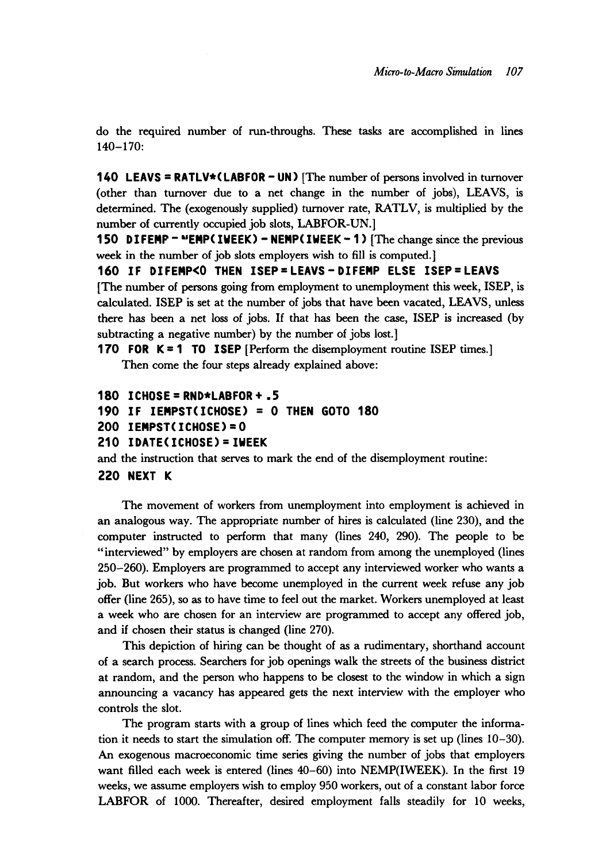do the required number of run-throughs. These tasks are accomplished in lines 140–170:

**140 LEAVS = RATLV\*( LABFOR - UN)** [The number of persons involved in turnover (other than turnover due to a net change in the number of jobs), LEAVS, is determined. The (exogenously supplied) turnover rate, RATLV, is multiplied by the number of currently occupied job slots, LABFOR-UN.]

**150 DIFEMP - NEMP(IWEEK) - NEMP(IWEEK - 1)** [The change since the previous week in the number of job slots employers wish to fill is computed.]

**160 IF DIFEMP<0 THEN ISEP = LEAVS - DIFEMP ELSE ISEP = LEAVS** [The number of persons going from employment to unemployment this week, ISEP, is calculated. ISEP is set at the number of jobs that have been vacated, LEAVS, unless there has been a net loss of jobs. If that has been the case, ISEP is increased (by subtracting a negative number) by the number of jobs lost.]

**170 FOR K = 1 TO ISEP** [Perform the disemployment routine ISEP times.]

Then come the four steps already explained above:

```
180 ICHOSE = RND*LABFOR + .5
```

```
190 IF IEMPST(ICHOSE) = 0 THEN GOTO 180
```
**200 IEMPST(ICHOSE) = 0**

```
210 IDATE(ICHOSE) = IWEEK
```
and the instruction that serves to mark the end of the disemployment routine:

#### **220 NEXT K**

The movement of workers from unemployment into employment is achieved in an analogous way. The appropriate number of hires is calculated (line 230), and the computer instructed to perform that many (lines 240, 290). The people to be "interviewed" by employers are chosen at random from among the unemployed (lines 250–260). Employers are programmed to accept any interviewed worker who wants a job. But workers who have become unemployed in the current week refuse any job offer (line 265), so as to have time to feel out the market. Workers unemployed at least a week who are chosen for an interview are programmed to accept any offered job, and if chosen their status is changed (line 270).

This depiction of hiring can be thought of as a rudimentary, shorthand account of a search process. Searchers for job openings walk the streets of the business district at random, and the person who happens to be closest to the window in which a sign announcing a vacancy has appeared gets the next interview with the employer who controls the slot.

The program starts with a group of lines which feed the computer the information it needs to start the simulation off. The computer memory is set up (lines 10–30). An exogenous macroeconomic time series giving the number of jobs that employers want filled each week is entered (lines 40–60) into NEMP(IWEEK). In the first 19 weeks, we assume employers wish to employ 950 workers, out of a constant labor force LABFOR of 1000. Thereafter, desired employment falls steadily for 10 weeks,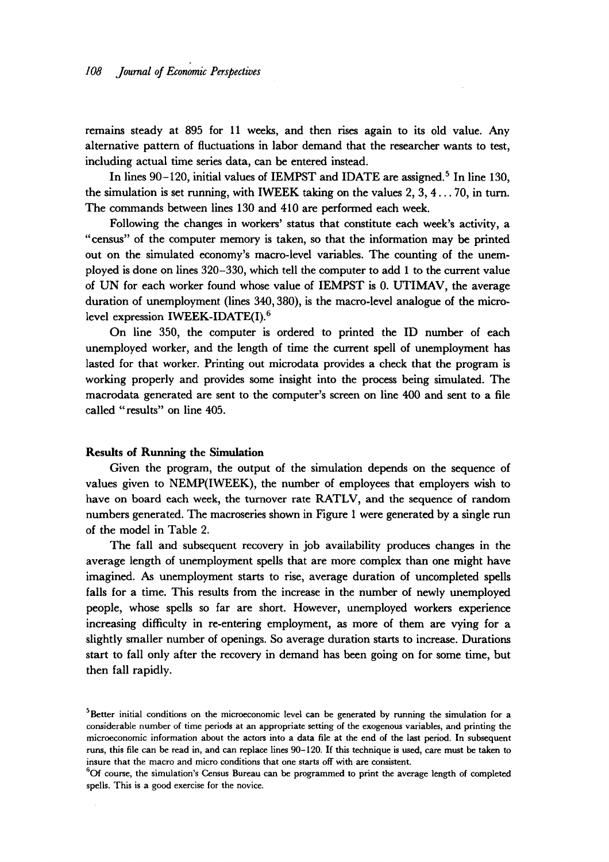remains steady at 895 for 11 weeks, and then rises again to its old value. Any alternative pattern of fluctuations in labor demand that the researcher wants to test, including actual time series data, can be entered instead.

In lines 90-120, initial values of IEMPST and IDATE are assigned.<sup>5</sup> In line 130, the simulation is set running, with IWEEK taking on the values 2, 3, 4 . . . 70, in turn. The commands between lines 130 and 410 are performed each week.

Following the changes in workers' status that constitute each week's activity, a "census" of the computer memory is taken, so that the information may be printed out on the simulated economy's macro-level variables. The counting of the unemployed is done on lines 320–330, which tell the computer to add 1 to the current value of UN for each worker found whose value of IEMPST is 0. UTIMAV, the average duration of unemployment (lines 340, 380), is the macro-level analogue of the microlevel expression IWEEK-IDATE(I).<sup>6</sup>

On line 350, the computer is ordered to printed the ID number of each unemployed worker, and the length of time the current spell of unemployment has lasted for that worker. Printing out microdata provides a check that the program is working properly and provides some insight into the process being simulated. The macrodata generated are sent to the computer's screen on line 400 and sent to a file called "results" on line 405.

#### **Results of Running the Simulation**

Given the program, the output of the simulation depends on the sequence of values given to NEMP(IWEEK), the number of employees that employers wish to have on board each week, the turnover rate RATLV, and the sequence of random numbers generated. The macroseries shown in Figure 1 were generated by a single run of the model in Table 2.

The fall and subsequent recovery in job availability produces changes in the average length of unemployment spells that are more complex than one might have imagined. As unemployment starts to rise, average duration of uncompleted spells falls for a time. This results from the increase in the number of newly unemployed people, whose spells so far are short. However, unemployed workers experience increasing difficulty in re-entering employment, as more of them are vying for a slightly smaller number of openings. So average duration starts to increase. Durations start to fall only after the recovery in demand has been going on for some time, but then fall rapidly.

<sup>&</sup>lt;sup>5</sup>Better initial conditions on the microeconomic level can be generated by running the simulation for a considerable number of time periods at an appropriate setting of the exogenous variables, and printing the microeconomic information about the actors into a data file at the end of the last period. In subsequent runs, this file can be read in, and can replace lines 90–120. If this technique is used, care must be taken to insure that the macro and micro conditions that one starts off with are consistent.

<sup>&</sup>lt;sup>6</sup>Of course, the simulation's Census Bureau can be programmed to print the average length of completed spells. This is a good exercise for the novice.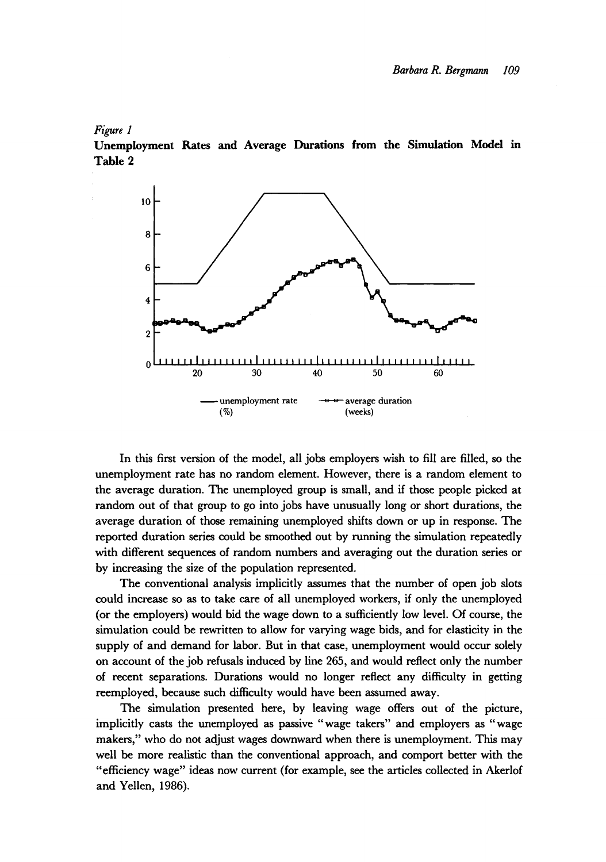#### *Figure 1*

**Unemployment Rates and Average Durations from the Simulation Model in Table 2**



In this first version of the model, all jobs employers wish to fill are filled, so the unemployment rate has no random element. However, there is a random element to the average duration. The unemployed group is small, and if those people picked at random out of that group to go into jobs have unusually long or short durations, the average duration of those remaining unemployed shifts down or up in response. The reported duration series could be smoothed out by running the simulation repeatedly with different sequences of random numbers and averaging out the duration series or by increasing the size of the population represented.

The conventional analysis implicitly assumes that the number of open job slots could increase so as to take care of all unemployed workers, if only the unemployed (or the employers) would bid the wage down to a sufficiently low level. Of course, the simulation could be rewritten to allow for varying wage bids, and for elasticity in the supply of and demand for labor. But in that case, unemployment would occur solely on account of the job refusals induced by line 265, and would reflect only the number of recent separations. Durations would no longer reflect any difficulty in getting reemployed, because such difficulty would have been assumed away.

The simulation presented here, by leaving wage offers out of the picture, implicitly casts the unemployed as passive "wage takers" and employers as "wage makers," who do not adjust wages downward when there is unemployment. This may well be more realistic than the conventional approach, and comport better with the "efficiency wage" ideas now current (for example, see the articles collected in Akerlof and Yellen, 1986).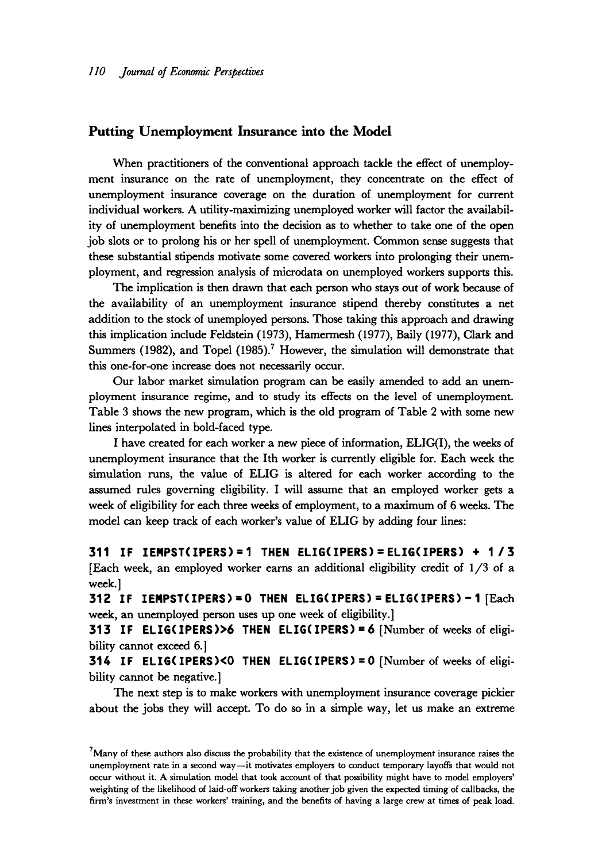## **Putting Unemployment Insurance into the Model**

When practitioners of the conventional approach tackle the effect of unemployment insurance on the rate of unemployment, they concentrate on the effect of unemployment insurance coverage on the duration of unemployment for current individual workers. A utility-maximizing unemployed worker will factor the availability of unemployment benefits into the decision as to whether to take one of the open job slots or to prolong his or her spell of unemployment. Common sense suggests that these substantial stipends motivate some covered workers into prolonging their unemployment, and regression analysis of microdata on unemployed workers supports this.

The implication is then drawn that each person who stays out of work because of the availability of an unemployment insurance stipend thereby constitutes a net addition to the stock of unemployed persons. Those taking this approach and drawing this implication include Feldstein (1973), Hamermesh (1977), Baily (1977), Clark and Summers (1982), and Topel (1985).<sup>7</sup> However, the simulation will demonstrate that this one-for-one increase does not necessarily occur.

Our labor market simulation program can be easily amended to add an unemployment insurance regime, and to study its effects on the level of unemployment. Table 3 shows the new program, which is the old program of Table 2 with some new lines interpolated in bold-faced type.

I have created for each worker a new piece of information, ELIG(I), the weeks of unemployment insurance that the Ith worker is currently eligible for. Each week the simulation runs, the value of ELIG is altered for each worker according to the assumed rules governing eligibility. I will assume that an employed worker gets a week of eligibility for each three weeks of employment, to a maximum of 6 weeks. The model can keep track of each worker's value of ELIG by adding four lines:

**3 1 1 I F IEMPST(IPERS ) = 1 THEN ELIG(IPERS ) = ELIG(IPERS ) + 1/3** [Each week, an employed worker earns an additional eligibility credit of  $1/3$  of a week.]

**312 IF IEMPST(IPERS) = O THEN ELIG(IPERS) = ELIG(IPERS) - 1** [Each week, an unemployed person uses up one week of eligibility.]

**313 IF ELIG(IPERS)>6 THEN ELIG(IPERS) = 6** [Number of weeks of eligibility cannot exceed 6.]

**314 IF ELIG(IPERS)<0 THEN ELIG(IPERS) = 0** [Number of weeks of eligibility cannot be negative.]

The next step is to make workers with unemployment insurance coverage pickier about the jobs they will accept. To do so in a simple way, let us make an extreme

 $<sup>7</sup>$ Many of these authors also discuss the probability that the existence of unemployment insurance raises the</sup> unemployment rate in a second way—it motivates employers to conduct temporary layoffs that would not occur without it. A simulation model that took account of that possibility might have to model employers' weighting of the likelihood of laid-off workers taking another job given the expected timing of callbacks, the firm's investment in these workers' training, and the benefits of having a large crew at times of peak load.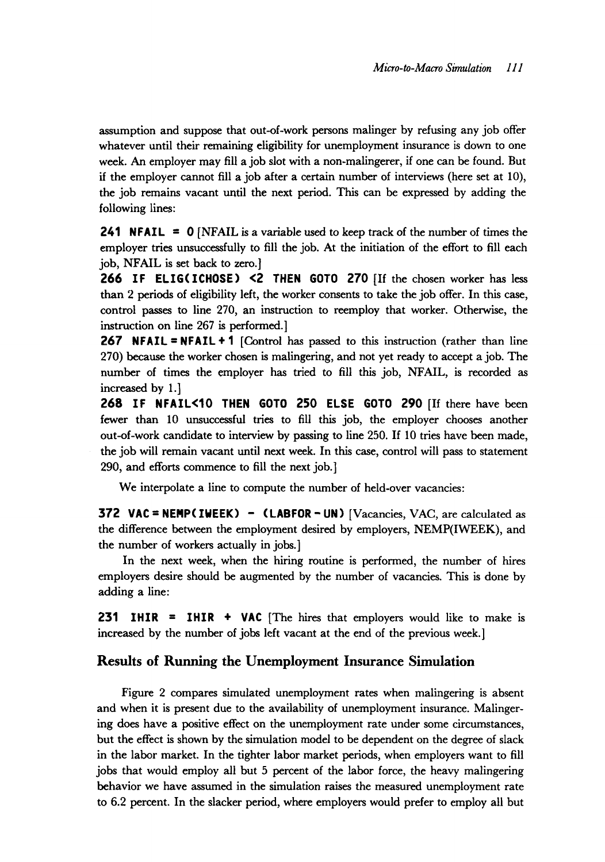assumption and suppose that out-of-work persons malinger by refusing any job offer whatever until their remaining eligibility for unemployment insurance is down to one week. An employer may fill a job slot with a non-malingerer, if one can be found. But if the employer cannot fill a job after a certain number of interviews (here set at 10), the job remains vacant until the next period. This can be expressed by adding the following lines:

**241 NFAIL = 0** [NFAIL is a variable used to keep track of the number of times the employer tries unsuccessfully to fill the job. At the initiation of the effort to fill each job, NFAIL is set back to zero.]

**266 IF ELIG(ICHOSE) <2 THEN GOTO 270** [If the chosen worker has less than 2 periods of eligibility left, the worker consents to take the job offer. In this case, control passes to line 270, an instruction to reemploy that worker. Otherwise, the instruction on line 267 is performed.]

**267 NFAIL = NFAIL + 1** [Control has passed to this instruction (rather than line 270) because the worker chosen is malingering, and not yet ready to accept a job. The number of times the employer has tried to fill this job, NFAIL, is recorded as increased by 1.]

**268 IF NFAIL<10 THEN GOTO 250 ELSE GOTO 290** [If there have been fewer than 10 unsuccessful tries to fill this job, the employer chooses another out-of-work candidate to interview by passing to line 250. If 10 tries have been made, the job will remain vacant until next week. In this case, control will pass to statement 290, and efforts commence to fill the next job.]

We interpolate a line to compute the number of held-over vacancies:

**372 VAC = NEMP(IWEEK) - (LABFOR - UN)** [Vacancies, VAC, are calculated as the difference between the employment desired by employers, NEMP(IWEEK), and the number of workers actually in jobs.]

In the next week, when the hiring routine is performed, the number of hires employers desire should be augmented by the number of vacancies. This is done by adding a line:

**231 IHIR = IHIR + VAC** [The hires that employers would like to make is increased by the number of jobs left vacant at the end of the previous week.]

## **Results of Running the Unemployment Insurance Simulation**

Figure 2 compares simulated unemployment rates when malingering is absent and when it is present due to the availability of unemployment insurance. Malingering does have a positive effect on the unemployment rate under some circumstances, but the effect is shown by the simulation model to be dependent on the degree of slack in the labor market. In the tighter labor market periods, when employers want to fill jobs that would employ all but 5 percent of the labor force, the heavy malingering behavior we have assumed in the simulation raises the measured unemployment rate to 6.2 percent. In the slacker period, where employers would prefer to employ all but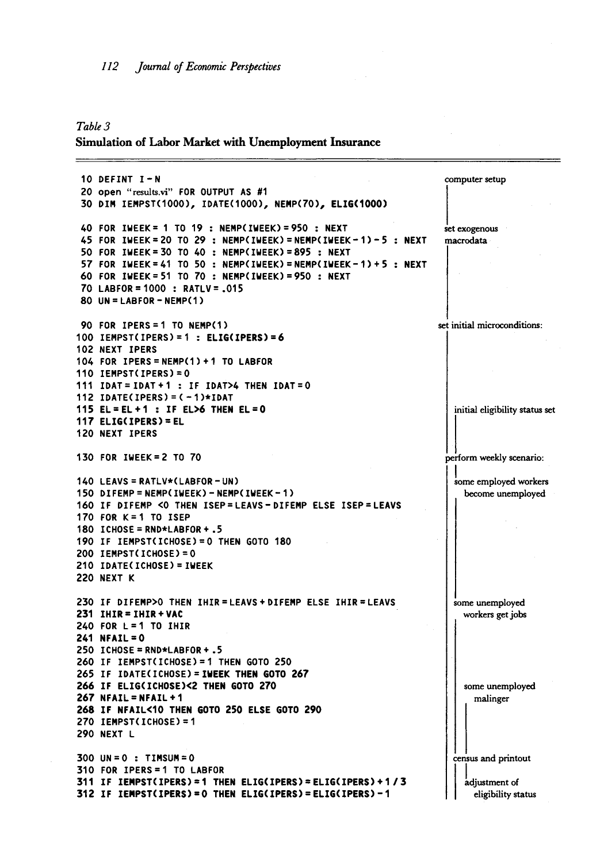*Table 3*

**Simulation of Labor Market with Unemployment Insurance**

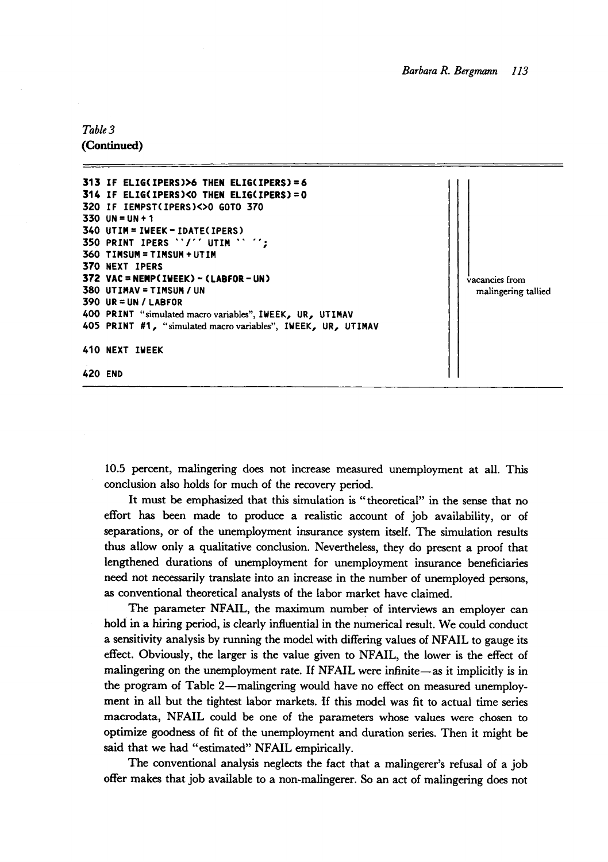*Table 3* **(Continued)**

```
313 IF ELIG(IPERS)>6 THEN ELIG(IPERS) = 6
314 IF ELIG(IPERS)<0 THEN ELIG(IPERS) = 0
320 IF IEMPST(IPERS)<>0 GOTO 370
330 UN = UN + 1
340 UTIM = IWEEK - IDATE(IPERS)
350 PRINT IPERS "/" UTIM " ";
360 TIMSUM = TIMSUM + UTIM
370 NEXT IPERS
372 VAC = NEMP(IWEEK) - (LABFOR - UN)
380 UTIMAV = TIMSUM / UN
390 UR = UN / LABFOR
400 PRINT "simulated macro variables", IWEEK, UR, UTIMAV
405 PRINT #1, "simulated macro variables", IWEEK, UR, UTIMAV
410 NEXT IWEEK
420 END
```
vacancies from malingering tallied

10.5 percent, malingering does not increase measured unemployment at all. This conclusion also holds for much of the recovery period.

It must be emphasized that this simulation is "theoretical" in the sense that no effort has been made to produce a realistic account of job availability, or of separations, or of the unemployment insurance system itself. The simulation results thus allow only a qualitative conclusion. Nevertheless, they do present a proof that lengthened durations of unemployment for unemployment insurance beneficiaries need not necessarily translate into an increase in the number of unemployed persons, as conventional theoretical analysts of the labor market have claimed.

The parameter NFAIL, the maximum number of interviews an employer can hold in a hiring period, is clearly influential in the numerical result. We could conduct a sensitivity analysis by running the model with differing values of NFAIL to gauge its effect. Obviously, the larger is the value given to NFAIL, the lower is the effect of malingering on the unemployment rate. If NFAIL were infinite—as it implicitly is in the program of Table 2—malingering would have no effect on measured unemployment in all but the tightest labor markets. If this model was fit to actual time series macrodata, NFAIL could be one of the parameters whose values were chosen to optimize goodness of fit of the unemployment and duration series. Then it might be said that we had "estimated" NFAIL empirically.

The conventional analysis neglects the fact that a malingerer's refusal of a job offer makes that job available to a non-malingerer. So an act of malingering does not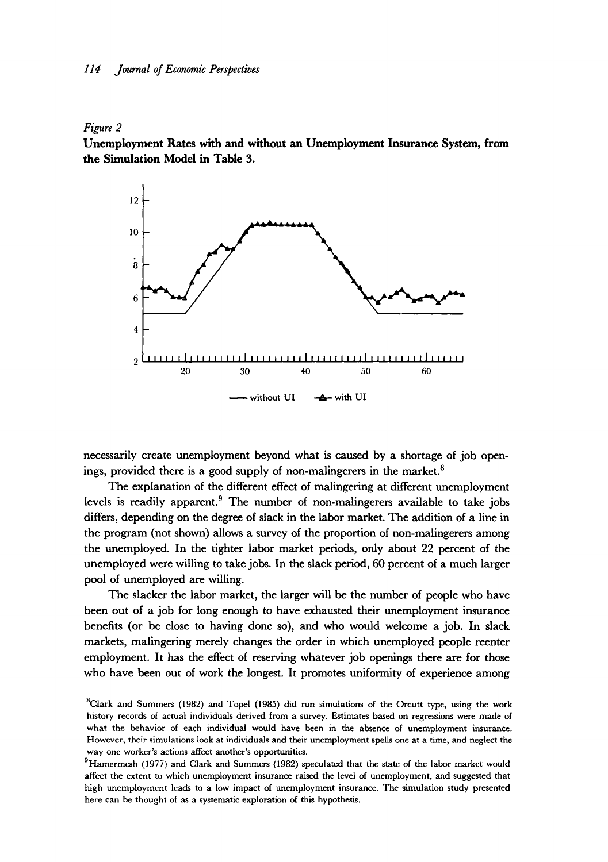

**Unemployment Rates with and without an Unemployment Insurance System, from the Simulation Model in Table 3.**



necessarily create unemployment beyond what is caused by a shortage of job openings, provided there is a good supply of non-malingerers in the market. $8$ 

The explanation of the different effect of malingering at different unemployment levels is readily apparent.<sup>9</sup> The number of non-malingerers available to take jobs differs, depending on the degree of slack in the labor market. The addition of a line in the program (not shown) allows a survey of the proportion of non-malingerers among the unemployed. In the tighter labor market periods, only about 22 percent of the unemployed were willing to take jobs. In the slack period, 60 percent of a much larger pool of unemployed are willing.

The slacker the labor market, the larger will be the number of people who have been out of a job for long enough to have exhausted their unemployment insurance benefits (or be close to having done so), and who would welcome a job. In slack markets, malingering merely changes the order in which unemployed people reenter employment. It has the effect of reserving whatever job openings there are for those who have been out of work the longest. It promotes uniformity of experience among

 ${}^{8}$ Clark and Summers (1982) and Topel (1985) did run simulations of the Orcutt type, using the work history records of actual individuals derived from a survey. Estimates based on regressions were made of what the behavior of each individual would have been in the absence of unemployment insurance. However, their simulations look at individuals and their unemployment spells one at a time, and neglect the way one worker's actions affect another's opportunities.

<sup>&</sup>lt;sup>9</sup>Hamermesh (1977) and Clark and Summers (1982) speculated that the state of the labor market would affect the extent to which unemployment insurance raised the level of unemployment, and suggested that high unemployment leads to a low impact of unemployment insurance. The simulation study presented here can be thought of as a systematic exploration of this hypothesis.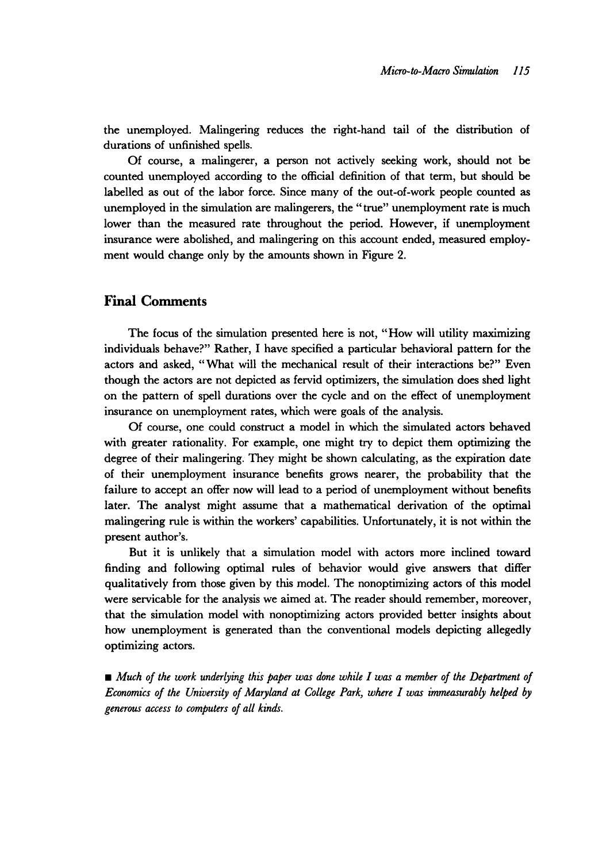the unemployed. Malingering reduces the right-hand tail of the distribution of durations of unfinished spells.

Of course, a malingerer, a person not actively seeking work, should not be counted unemployed according to the official definition of that term, but should be labelled as out of the labor force. Since many of the out-of-work people counted as unemployed in the simulation are malingerers, the "true" unemployment rate is much lower than the measured rate throughout the period. However, if unemployment insurance were abolished, and malingering on this account ended, measured employment would change only by the amounts shown in Figure 2.

### **Final Comments**

The focus of the simulation presented here is not, "How will utility maximizing individuals behave?" Rather, I have specified a particular behavioral pattern for the actors and asked, "What will the mechanical result of their interactions be?" Even though the actors are not depicted as fervid optimizers, the simulation does shed light on the pattern of spell durations over the cycle and on the effect of unemployment insurance on unemployment rates, which were goals of the analysis.

Of course, one could construct a model in which the simulated actors behaved with greater rationality. For example, one might try to depict them optimizing the degree of their malingering. They might be shown calculating, as the expiration date of their unemployment insurance benefits grows nearer, the probability that the failure to accept an offer now will lead to a period of unemployment without benefits later. The analyst might assume that a mathematical derivation of the optimal malingering rule is within the workers' capabilities. Unfortunately, it is not within the present author's.

But it is unlikely that a simulation model with actors more inclined toward finding and following optimal rules of behavior would give answers that differ qualitatively from those given by this model. The nonoptimizing actors of this model were servicable for the analysis we aimed at. The reader should remember, moreover, that the simulation model with nonoptimizing actors provided better insights about how unemployment is generated than the conventional models depicting allegedly optimizing actors.

• *Much of the work underlying this paper was done while I was a member of the Department of Economics of the University of Maryland at College Park, where I was immeasurably helped by generous access to computers of all kinds.*